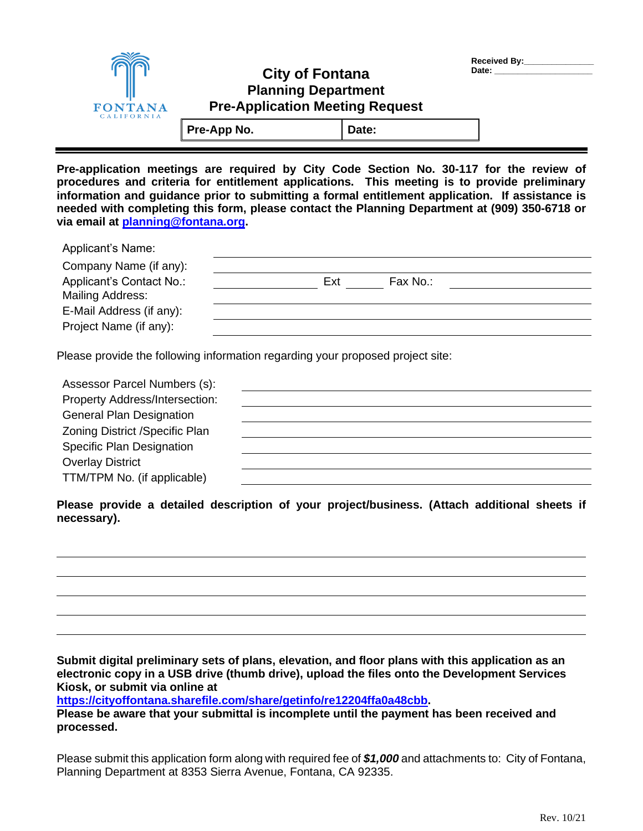| Received By: |  |
|--------------|--|
| Date:        |  |

## **City of Fontana Planning Department Pre-Application Meeting Request**

Pre-App No. **Date:** 

**FONTANA** 

**Pre-application meetings are required by City Code Section No. 30-117 for the review of procedures and criteria for entitlement applications. This meeting is to provide preliminary information and guidance prior to submitting a formal entitlement application. If assistance is needed with completing this form, please contact the Planning Department at (909) 350-6718 or via email at [planning@fontana.org.](mailto:planning@fontana.org)** 

| <b>Applicant's Name:</b> |                 |  |
|--------------------------|-----------------|--|
| Company Name (if any):   |                 |  |
| Applicant's Contact No.: | Fax No.:<br>Ext |  |
| Mailing Address:         |                 |  |
| E-Mail Address (if any): |                 |  |
| Project Name (if any):   |                 |  |
|                          |                 |  |

Please provide the following information regarding your proposed project site:

| Assessor Parcel Numbers (s):     |  |
|----------------------------------|--|
| Property Address/Intersection:   |  |
| <b>General Plan Designation</b>  |  |
| Zoning District / Specific Plan  |  |
| <b>Specific Plan Designation</b> |  |
| <b>Overlay District</b>          |  |
| TTM/TPM No. (if applicable)      |  |

**Please provide a detailed description of your project/business. (Attach additional sheets if necessary).** 

**Submit digital preliminary sets of plans, elevation, and floor plans with this application as an electronic copy in a USB drive (thumb drive), upload the files onto the Development Services Kiosk, or submit via online at**

**[https://cityoffontana.sharefile.com/share/getinfo/re12204ffa0a48cbb.](https://cityoffontana.sharefile.com/share/getinfo/re12204ffa0a48cbb)** 

**Please be aware that your submittal is incomplete until the payment has been received and processed.**

Please submit this application form along with required fee of *\$1,000* and attachments to: City of Fontana, Planning Department at 8353 Sierra Avenue, Fontana, CA 92335.